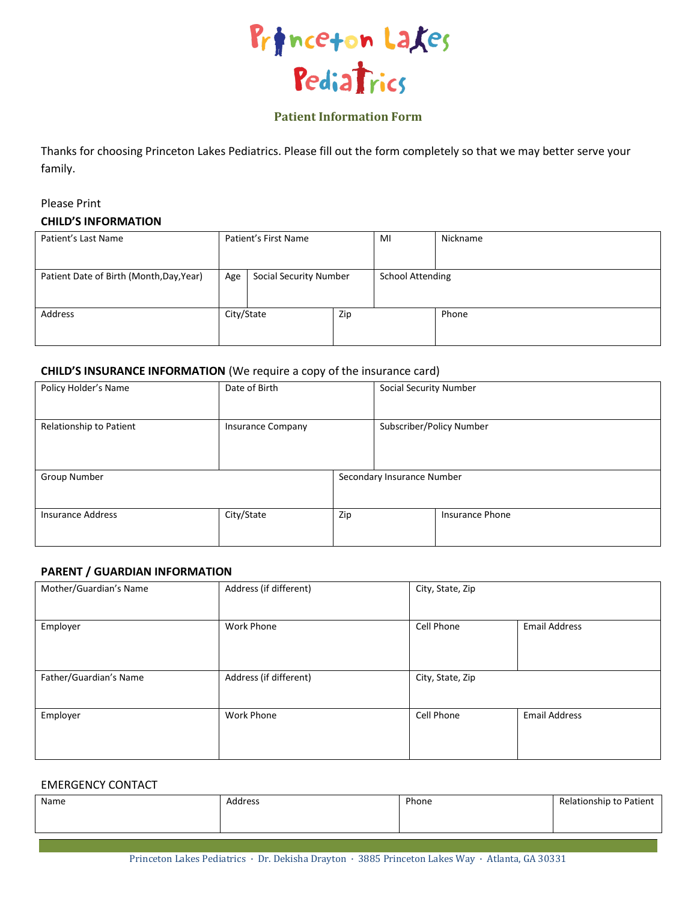

## **Patient Information Form**

Thanks for choosing Princeton Lakes Pediatrics. Please fill out the form completely so that we may better serve your family.

# Please Print **CHILD'S INFORMATION**

| Patient's Last Name                      | Patient's First Name |                               | MI  | Nickname                |       |
|------------------------------------------|----------------------|-------------------------------|-----|-------------------------|-------|
| Patient Date of Birth (Month, Day, Year) | Age                  | <b>Social Security Number</b> |     | <b>School Attending</b> |       |
| Address                                  | City/State           |                               | Zip |                         | Phone |

### **CHILD'S INSURANCE INFORMATION** (We require a copy of the insurance card)

| Policy Holder's Name     | Date of Birth            |     | <b>Social Security Number</b> |                        |
|--------------------------|--------------------------|-----|-------------------------------|------------------------|
| Relationship to Patient  | <b>Insurance Company</b> |     | Subscriber/Policy Number      |                        |
| Group Number             |                          |     | Secondary Insurance Number    |                        |
| <b>Insurance Address</b> | City/State               | Zip |                               | <b>Insurance Phone</b> |

### **PARENT / GUARDIAN INFORMATION**

| Mother/Guardian's Name | Address (if different) | City, State, Zip |                      |
|------------------------|------------------------|------------------|----------------------|
| Employer               | <b>Work Phone</b>      | Cell Phone       | <b>Email Address</b> |
| Father/Guardian's Name | Address (if different) | City, State, Zip |                      |
| Employer               | <b>Work Phone</b>      | Cell Phone       | <b>Email Address</b> |

### EMERGENCY CONTACT

| Name | Address | Phone | Relationship to Patient |
|------|---------|-------|-------------------------|
|      |         |       |                         |
|      |         |       |                         |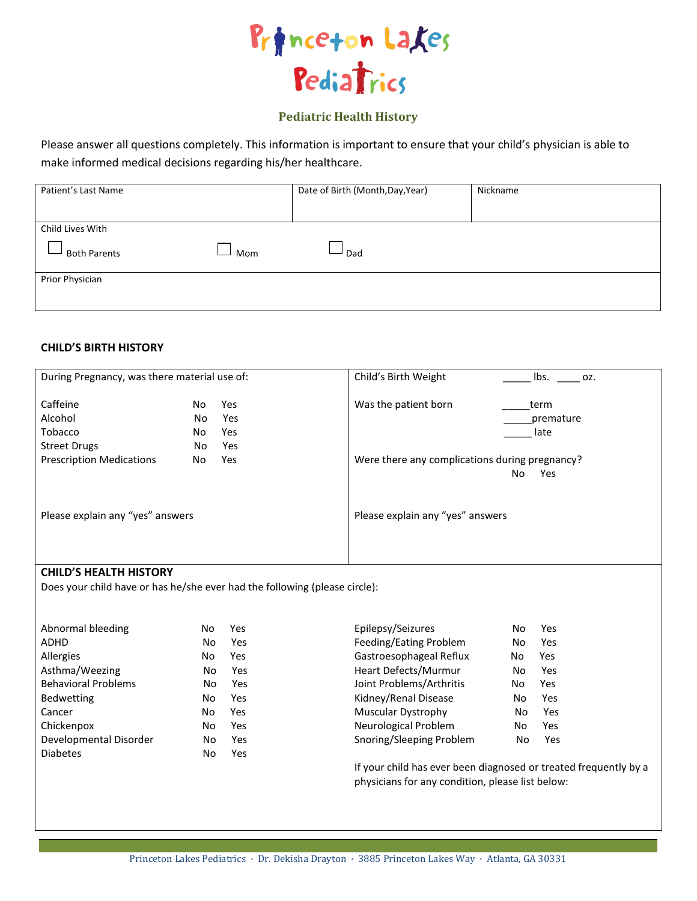

## **Pediatric Health History**

Please answer all questions completely. This information is important to ensure that your child's physician is able to make informed medical decisions regarding his/her healthcare.

| Patient's Last Name        | Date of Birth (Month, Day, Year) | Nickname |
|----------------------------|----------------------------------|----------|
|                            |                                  |          |
| Child Lives With           |                                  |          |
| <b>Both Parents</b><br>Mom | Dad                              |          |
| Prior Physician            |                                  |          |
|                            |                                  |          |
|                            |                                  |          |

## **CHILD'S BIRTH HISTORY**

| During Pregnancy, was there material use of:          |                                                            | Child's Birth Weight<br>lbs.<br>OZ.                                 |
|-------------------------------------------------------|------------------------------------------------------------|---------------------------------------------------------------------|
| Caffeine<br>Alcohol<br>Tobacco<br><b>Street Drugs</b> | <b>Yes</b><br>No.<br>Yes<br>No.<br>No<br>Yes<br>Yes<br>No. | Was the patient born<br>term<br>premature<br>late                   |
| <b>Prescription Medications</b>                       | <b>Yes</b><br>No                                           | Were there any complications during pregnancy?<br>No.<br><b>Yes</b> |
| Please explain any "yes" answers                      |                                                            | Please explain any "yes" answers                                    |
| <b>CHILD'S HEALTH HISTORY</b>                         |                                                            |                                                                     |

Does your child have or has he/she ever had the following (please circle):

| Abnormal bleeding          | No  | Yes | Epilepsy/Seizures                                      | No  | Yes        |
|----------------------------|-----|-----|--------------------------------------------------------|-----|------------|
| <b>ADHD</b>                | No  | Yes | Feeding/Eating Problem                                 | No. | Yes        |
| Allergies                  | No. | Yes | Gastroesophageal Reflux                                | No  | Yes        |
| Asthma/Weezing             | No. | Yes | Heart Defects/Murmur                                   | No  | Yes        |
| <b>Behavioral Problems</b> | No  | Yes | Joint Problems/Arthritis                               | No  | <b>Yes</b> |
| <b>Bedwetting</b>          | No  | Yes | Kidney/Renal Disease                                   | No. | Yes        |
| Cancer                     | No  | Yes | Muscular Dystrophy                                     | No  | Yes        |
| Chickenpox                 | No  | Yes | Neurological Problem                                   | No  | Yes        |
| Developmental Disorder     | No. | Yes | Snoring/Sleeping Problem                               | No  | Yes        |
| <b>Diabetes</b>            | No  | Yes |                                                        |     |            |
|                            |     |     | If your child has ever been diagnosed or treated frequ |     |            |

quently by a physicians for any condition, please list below: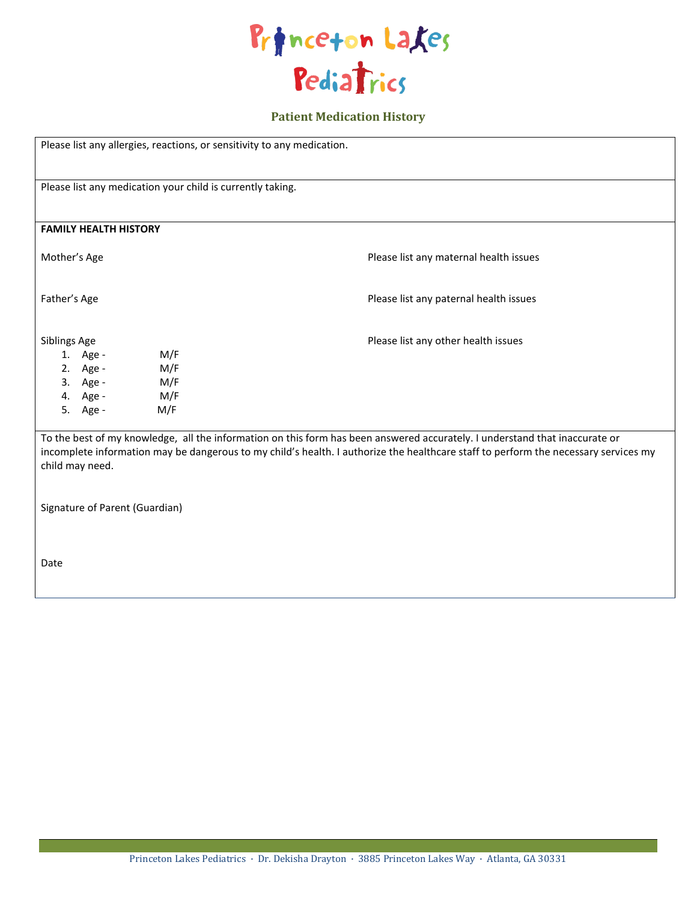

# **Patient Medication History**

| Please list any allergies, reactions, or sensitivity to any medication.                                     |                                                                                                                                                                                                                                                                    |  |  |  |  |
|-------------------------------------------------------------------------------------------------------------|--------------------------------------------------------------------------------------------------------------------------------------------------------------------------------------------------------------------------------------------------------------------|--|--|--|--|
| Please list any medication your child is currently taking.                                                  |                                                                                                                                                                                                                                                                    |  |  |  |  |
| <b>FAMILY HEALTH HISTORY</b>                                                                                |                                                                                                                                                                                                                                                                    |  |  |  |  |
| Mother's Age                                                                                                | Please list any maternal health issues                                                                                                                                                                                                                             |  |  |  |  |
| Father's Age                                                                                                | Please list any paternal health issues                                                                                                                                                                                                                             |  |  |  |  |
| Siblings Age<br>M/F<br>1. Age -<br>2. Age -<br>M/F<br>3. Age -<br>M/F<br>4. Age -<br>M/F<br>M/F<br>5. Age - | Please list any other health issues                                                                                                                                                                                                                                |  |  |  |  |
| child may need.                                                                                             | To the best of my knowledge, all the information on this form has been answered accurately. I understand that inaccurate or<br>incomplete information may be dangerous to my child's health. I authorize the healthcare staff to perform the necessary services my |  |  |  |  |
| Signature of Parent (Guardian)                                                                              |                                                                                                                                                                                                                                                                    |  |  |  |  |
| Date                                                                                                        |                                                                                                                                                                                                                                                                    |  |  |  |  |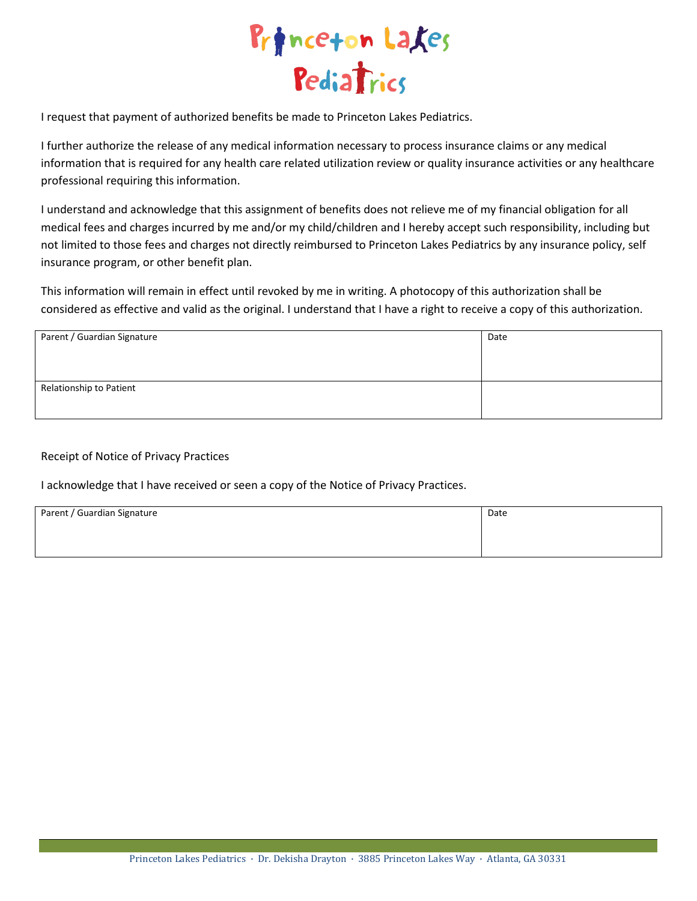

I request that payment of authorized benefits be made to Princeton Lakes Pediatrics.

I further authorize the release of any medical information necessary to process insurance claims or any medical information that is required for any health care related utilization review or quality insurance activities or any healthcare professional requiring this information.

I understand and acknowledge that this assignment of benefits does not relieve me of my financial obligation for all medical fees and charges incurred by me and/or my child/children and I hereby accept such responsibility, including but not limited to those fees and charges not directly reimbursed to Princeton Lakes Pediatrics by any insurance policy, self insurance program, or other benefit plan.

This information will remain in effect until revoked by me in writing. A photocopy of this authorization shall be considered as effective and valid as the original. I understand that I have a right to receive a copy of this authorization.

| Parent / Guardian Signature | Date |
|-----------------------------|------|
|                             |      |
|                             |      |
| Relationship to Patient     |      |
|                             |      |

## Receipt of Notice of Privacy Practices

I acknowledge that I have received or seen a copy of the Notice of Privacy Practices.

| Parent / Guardian Signature | Date |
|-----------------------------|------|
|                             |      |
|                             |      |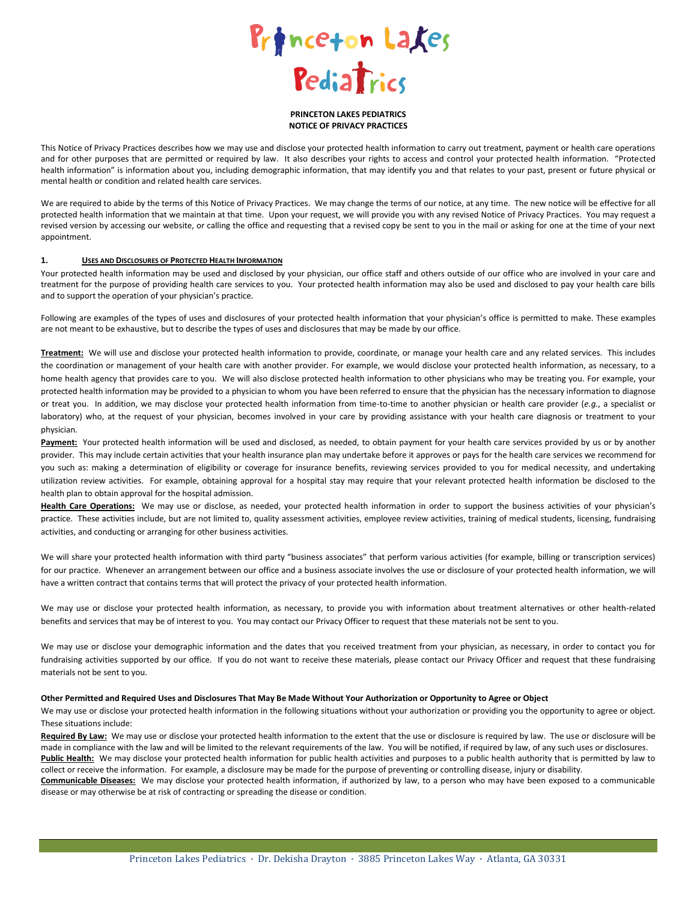

#### **PRINCETON LAKES PEDIATRICS NOTICE OF PRIVACY PRACTICES**

This Notice of Privacy Practices describes how we may use and disclose your protected health information to carry out treatment, payment or health care operations and for other purposes that are permitted or required by law. It also describes your rights to access and control your protected health information. "Protected health information" is information about you, including demographic information, that may identify you and that relates to your past, present or future physical or mental health or condition and related health care services.

We are required to abide by the terms of this Notice of Privacy Practices. We may change the terms of our notice, at any time. The new notice will be effective for all protected health information that we maintain at that time. Upon your request, we will provide you with any revised Notice of Privacy Practices. You may request a revised version by accessing our website, or calling the office and requesting that a revised copy be sent to you in the mail or asking for one at the time of your next appointment.

### **1. USES AND DISCLOSURES OF PROTECTED HEALTH INFORMATION**

Your protected health information may be used and disclosed by your physician, our office staff and others outside of our office who are involved in your care and treatment for the purpose of providing health care services to you. Your protected health information may also be used and disclosed to pay your health care bills and to support the operation of your physician's practice.

Following are examples of the types of uses and disclosures of your protected health information that your physician's office is permitted to make. These examples are not meant to be exhaustive, but to describe the types of uses and disclosures that may be made by our office.

**Treatment:** We will use and disclose your protected health information to provide, coordinate, or manage your health care and any related services. This includes the coordination or management of your health care with another provider. For example, we would disclose your protected health information, as necessary, to a home health agency that provides care to you. We will also disclose protected health information to other physicians who may be treating you. For example, your protected health information may be provided to a physician to whom you have been referred to ensure that the physician has the necessary information to diagnose or treat you. In addition, we may disclose your protected health information from time-to-time to another physician or health care provider (*e.g.*, a specialist or laboratory) who, at the request of your physician, becomes involved in your care by providing assistance with your health care diagnosis or treatment to your physician.

Payment: Your protected health information will be used and disclosed, as needed, to obtain payment for your health care services provided by us or by another provider. This may include certain activities that your health insurance plan may undertake before it approves or pays for the health care services we recommend for you such as: making a determination of eligibility or coverage for insurance benefits, reviewing services provided to you for medical necessity, and undertaking utilization review activities. For example, obtaining approval for a hospital stay may require that your relevant protected health information be disclosed to the health plan to obtain approval for the hospital admission.

**Health Care Operations:** We may use or disclose, as needed, your protected health information in order to support the business activities of your physician's practice. These activities include, but are not limited to, quality assessment activities, employee review activities, training of medical students, licensing, fundraising activities, and conducting or arranging for other business activities.

We will share your protected health information with third party "business associates" that perform various activities (for example, billing or transcription services) for our practice. Whenever an arrangement between our office and a business associate involves the use or disclosure of your protected health information, we will have a written contract that contains terms that will protect the privacy of your protected health information.

We may use or disclose your protected health information, as necessary, to provide you with information about treatment alternatives or other health-related benefits and services that may be of interest to you. You may contact our Privacy Officer to request that these materials not be sent to you.

We may use or disclose your demographic information and the dates that you received treatment from your physician, as necessary, in order to contact you for fundraising activities supported by our office. If you do not want to receive these materials, please contact our Privacy Officer and request that these fundraising materials not be sent to you.

#### **Other Permitted and Required Uses and Disclosures That May Be Made Without Your Authorization or Opportunity to Agree or Object**

We may use or disclose your protected health information in the following situations without your authorization or providing you the opportunity to agree or object. These situations include:

**Required By Law:** We may use or disclose your protected health information to the extent that the use or disclosure is required by law. The use or disclosure will be made in compliance with the law and will be limited to the relevant requirements of the law. You will be notified, if required by law, of any such uses or disclosures. Public Health: We may disclose your protected health information for public health activities and purposes to a public health authority that is permitted by law to collect or receive the information. For example, a disclosure may be made for the purpose of preventing or controlling disease, injury or disability. **Communicable Diseases:** We may disclose your protected health information, if authorized by law, to a person who may have been exposed to a communicable disease or may otherwise be at risk of contracting or spreading the disease or condition.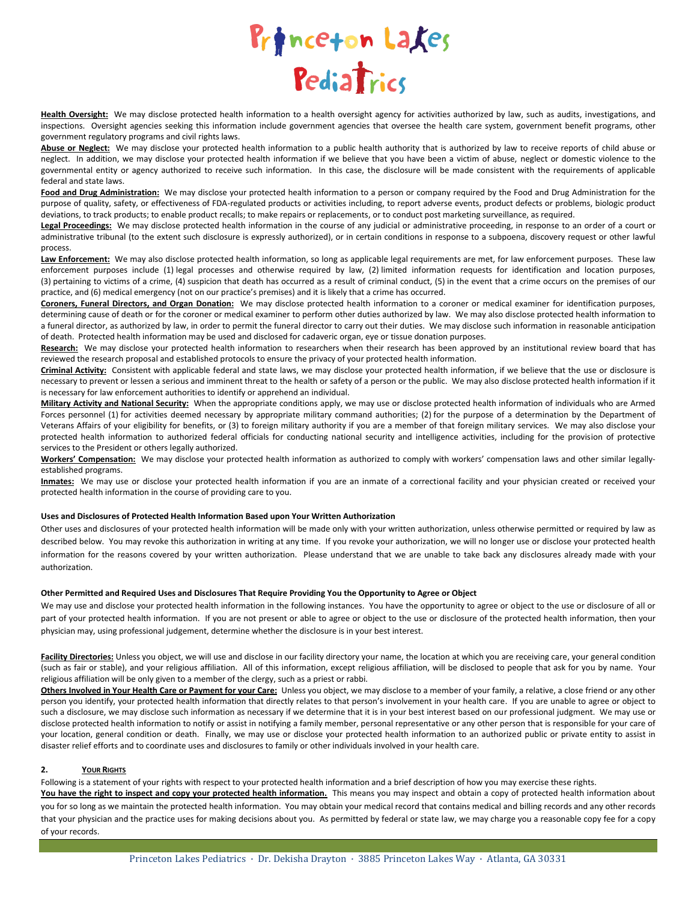

Health Oversight: We may disclose protected health information to a health oversight agency for activities authorized by law, such as audits, investigations, and inspections. Oversight agencies seeking this information include government agencies that oversee the health care system, government benefit programs, other government regulatory programs and civil rights laws.

**Abuse or Neglect:** We may disclose your protected health information to a public health authority that is authorized by law to receive reports of child abuse or neglect. In addition, we may disclose your protected health information if we believe that you have been a victim of abuse, neglect or domestic violence to the governmental entity or agency authorized to receive such information. In this case, the disclosure will be made consistent with the requirements of applicable federal and state laws.

**Food and Drug Administration:** We may disclose your protected health information to a person or company required by the Food and Drug Administration for the purpose of quality, safety, or effectiveness of FDA-regulated products or activities including, to report adverse events, product defects or problems, biologic product deviations, to track products; to enable product recalls; to make repairs or replacements, or to conduct post marketing surveillance, as required.

**Legal Proceedings:** We may disclose protected health information in the course of any judicial or administrative proceeding, in response to an order of a court or administrative tribunal (to the extent such disclosure is expressly authorized), or in certain conditions in response to a subpoena, discovery request or other lawful process.

Law Enforcement: We may also disclose protected health information, so long as applicable legal requirements are met, for law enforcement purposes. These law enforcement purposes include (1) legal processes and otherwise required by law, (2) limited information requests for identification and location purposes, (3) pertaining to victims of a crime, (4) suspicion that death has occurred as a result of criminal conduct, (5) in the event that a crime occurs on the premises of our practice, and (6) medical emergency (not on our practice's premises) and it is likely that a crime has occurred.

**Coroners, Funeral Directors, and Organ Donation:** We may disclose protected health information to a coroner or medical examiner for identification purposes, determining cause of death or for the coroner or medical examiner to perform other duties authorized by law. We may also disclose protected health information to a funeral director, as authorized by law, in order to permit the funeral director to carry out their duties. We may disclose such information in reasonable anticipation of death. Protected health information may be used and disclosed for cadaveric organ, eye or tissue donation purposes.

**Research:** We may disclose your protected health information to researchers when their research has been approved by an institutional review board that has reviewed the research proposal and established protocols to ensure the privacy of your protected health information.

**Criminal Activity:** Consistent with applicable federal and state laws, we may disclose your protected health information, if we believe that the use or disclosure is necessary to prevent or lessen a serious and imminent threat to the health or safety of a person or the public. We may also disclose protected health information if it is necessary for law enforcement authorities to identify or apprehend an individual.

**Military Activity and National Security:** When the appropriate conditions apply, we may use or disclose protected health information of individuals who are Armed Forces personnel (1) for activities deemed necessary by appropriate military command authorities; (2) for the purpose of a determination by the Department of Veterans Affairs of your eligibility for benefits, or (3) to foreign military authority if you are a member of that foreign military services. We may also disclose your protected health information to authorized federal officials for conducting national security and intelligence activities, including for the provision of protective services to the President or others legally authorized.

**Workers' Compensation:** We may disclose your protected health information as authorized to comply with workers' compensation laws and other similar legallyestablished programs.

**Inmates:** We may use or disclose your protected health information if you are an inmate of a correctional facility and your physician created or received your protected health information in the course of providing care to you.

### **Uses and Disclosures of Protected Health Information Based upon Your Written Authorization**

Other uses and disclosures of your protected health information will be made only with your written authorization, unless otherwise permitted or required by law as described below. You may revoke this authorization in writing at any time. If you revoke your authorization, we will no longer use or disclose your protected health information for the reasons covered by your written authorization. Please understand that we are unable to take back any disclosures already made with your authorization.

#### **Other Permitted and Required Uses and Disclosures That Require Providing You the Opportunity to Agree or Object**

We may use and disclose your protected health information in the following instances. You have the opportunity to agree or object to the use or disclosure of all or part of your protected health information. If you are not present or able to agree or object to the use or disclosure of the protected health information, then your physician may, using professional judgement, determine whether the disclosure is in your best interest.

Facility Directories: Unless you object, we will use and disclose in our facility directory your name, the location at which you are receiving care, your general condition (such as fair or stable), and your religious affiliation. All of this information, except religious affiliation, will be disclosed to people that ask for you by name. Your religious affiliation will be only given to a member of the clergy, such as a priest or rabbi.

**Others Involved in Your Health Care or Payment for your Care:** Unless you object, we may disclose to a member of your family, a relative, a close friend or any other person you identify, your protected health information that directly relates to that person's involvement in your health care. If you are unable to agree or object to such a disclosure, we may disclose such information as necessary if we determine that it is in your best interest based on our professional judgment. We may use or disclose protected health information to notify or assist in notifying a family member, personal representative or any other person that is responsible for your care of your location, general condition or death. Finally, we may use or disclose your protected health information to an authorized public or private entity to assist in disaster relief efforts and to coordinate uses and disclosures to family or other individuals involved in your health care.

### **2. YOUR RIGHTS**

Following is a statement of your rights with respect to your protected health information and a brief description of how you may exercise these rights.

You have the right to inspect and copy your protected health information. This means you may inspect and obtain a copy of protected health information about you for so long as we maintain the protected health information. You may obtain your medical record that contains medical and billing records and any other records that your physician and the practice uses for making decisions about you. As permitted by federal or state law, we may charge you a reasonable copy fee for a copy of your records.